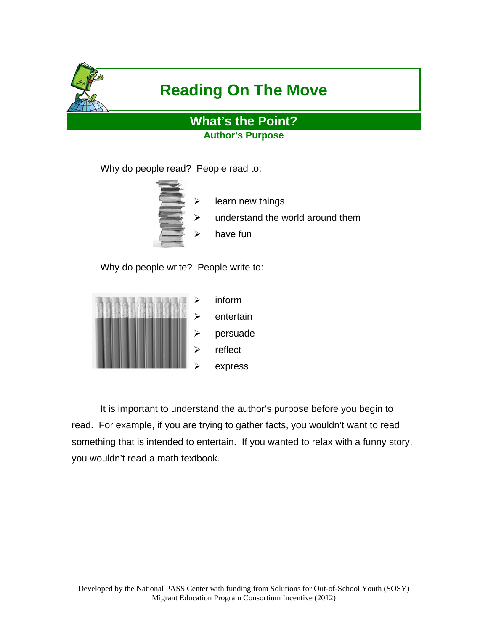

# **Reading On The Move**

**What's the Point? Author's Purpose** 

Why do people read? People read to:



- learn new things
- understand the world around them
- have fun

Why do people write? People write to:



It is important to understand the author's purpose before you begin to read. For example, if you are trying to gather facts, you wouldn't want to read something that is intended to entertain. If you wanted to relax with a funny story, you wouldn't read a math textbook.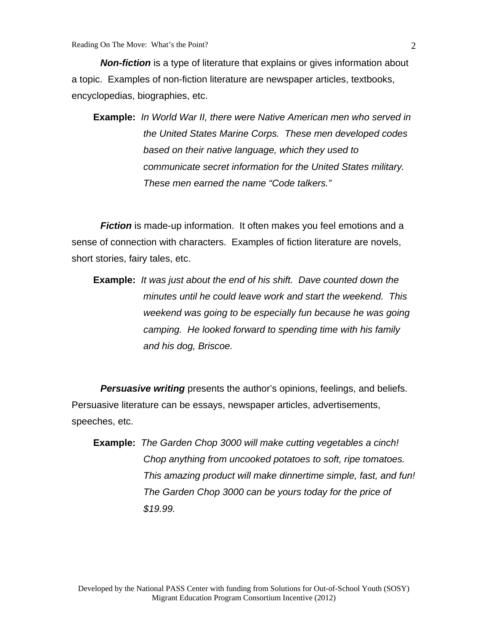*Non-fiction* is a type of literature that explains or gives information about a topic. Examples of non-fiction literature are newspaper articles, textbooks, encyclopedias, biographies, etc.

**Example:** *In World War II, there were Native American men who served in the United States Marine Corps. These men developed codes based on their native language, which they used to communicate secret information for the United States military. These men earned the name "Code talkers."* 

**Fiction** is made-up information. It often makes you feel emotions and a sense of connection with characters. Examples of fiction literature are novels, short stories, fairy tales, etc.

**Example:** *It was just about the end of his shift. Dave counted down the minutes until he could leave work and start the weekend. This weekend was going to be especially fun because he was going camping. He looked forward to spending time with his family and his dog, Briscoe.* 

*Persuasive writing* presents the author's opinions, feelings, and beliefs. Persuasive literature can be essays, newspaper articles, advertisements, speeches, etc.

**Example:** *The Garden Chop 3000 will make cutting vegetables a cinch! Chop anything from uncooked potatoes to soft, ripe tomatoes. This amazing product will make dinnertime simple, fast, and fun! The Garden Chop 3000 can be yours today for the price of \$19.99.*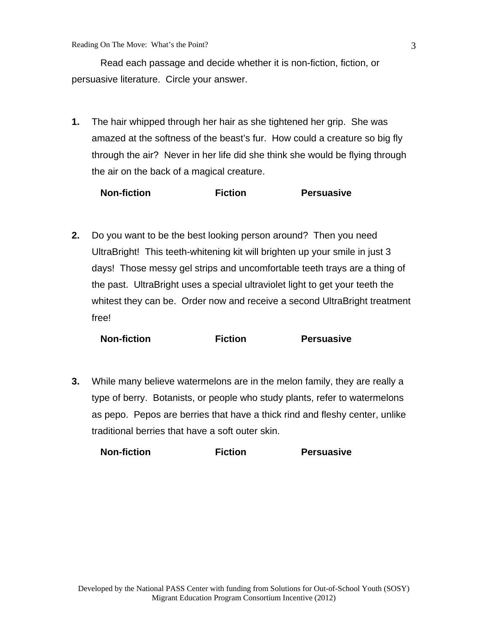Read each passage and decide whether it is non-fiction, fiction, or persuasive literature. Circle your answer.

**1.** The hair whipped through her hair as she tightened her grip. She was amazed at the softness of the beast's fur. How could a creature so big fly through the air? Never in her life did she think she would be flying through the air on the back of a magical creature.

| <b>Non-fiction</b> | <b>Fiction</b> | <b>Persuasive</b> |
|--------------------|----------------|-------------------|
|--------------------|----------------|-------------------|

**2.** Do you want to be the best looking person around? Then you need UltraBright! This teeth-whitening kit will brighten up your smile in just 3 days! Those messy gel strips and uncomfortable teeth trays are a thing of the past. UltraBright uses a special ultraviolet light to get your teeth the whitest they can be. Order now and receive a second UltraBright treatment free!

| <b>Non-fiction</b> | <b>Fiction</b> | <b>Persuasive</b> |
|--------------------|----------------|-------------------|
|--------------------|----------------|-------------------|

**3.** While many believe watermelons are in the melon family, they are really a type of berry. Botanists, or people who study plants, refer to watermelons as pepo. Pepos are berries that have a thick rind and fleshy center, unlike traditional berries that have a soft outer skin.

**Non-fiction Fiction Persuasive**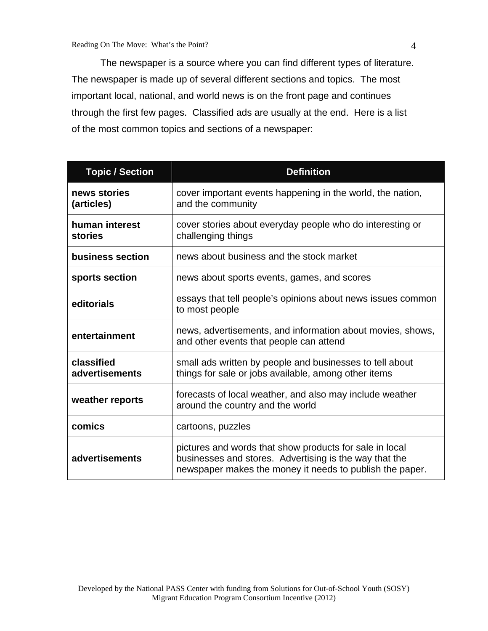The newspaper is a source where you can find different types of literature. The newspaper is made up of several different sections and topics. The most important local, national, and world news is on the front page and continues through the first few pages. Classified ads are usually at the end. Here is a list of the most common topics and sections of a newspaper:

| <b>Topic / Section</b>           | <b>Definition</b>                                                                                                                                                             |
|----------------------------------|-------------------------------------------------------------------------------------------------------------------------------------------------------------------------------|
| news stories<br>(articles)       | cover important events happening in the world, the nation,<br>and the community                                                                                               |
| human interest<br><b>stories</b> | cover stories about everyday people who do interesting or<br>challenging things                                                                                               |
| business section                 | news about business and the stock market                                                                                                                                      |
| sports section                   | news about sports events, games, and scores                                                                                                                                   |
| editorials                       | essays that tell people's opinions about news issues common<br>to most people                                                                                                 |
| entertainment                    | news, advertisements, and information about movies, shows,<br>and other events that people can attend                                                                         |
| classified<br>advertisements     | small ads written by people and businesses to tell about<br>things for sale or jobs available, among other items                                                              |
| weather reports                  | forecasts of local weather, and also may include weather<br>around the country and the world                                                                                  |
| comics                           | cartoons, puzzles                                                                                                                                                             |
| advertisements                   | pictures and words that show products for sale in local<br>businesses and stores. Advertising is the way that the<br>newspaper makes the money it needs to publish the paper. |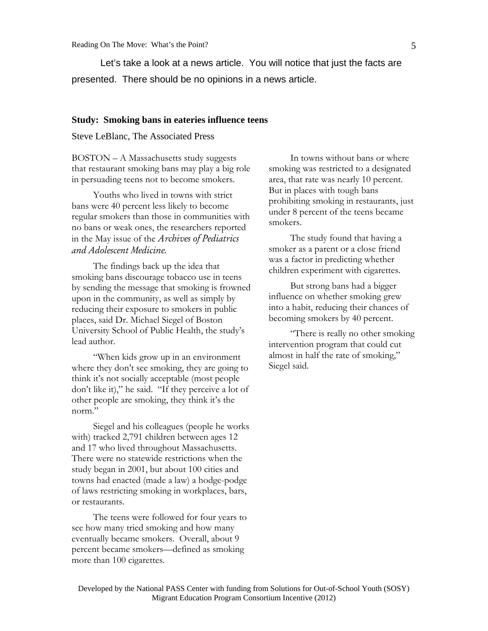Let's take a look at a news article. You will notice that just the facts are presented. There should be no opinions in a news article.

#### **Study: Smoking bans in eateries influence teens**

Steve LeBlanc, The Associated Press

BOSTON – A Massachusetts study suggests that restaurant smoking bans may play a big role in persuading teens not to become smokers.

Youths who lived in towns with strict bans were 40 percent less likely to become regular smokers than those in communities with no bans or weak ones, the researchers reported in the May issue of the *Archives of Pediatrics and Adolescent Medicine.*

The findings back up the idea that smoking bans discourage tobacco use in teens by sending the message that smoking is frowned upon in the community, as well as simply by reducing their exposure to smokers in public places, said Dr. Michael Siegel of Boston University School of Public Health, the study's lead author.

"When kids grow up in an environment where they don't see smoking, they are going to think it's not socially acceptable (most people don't like it)," he said. "If they perceive a lot of other people are smoking, they think it's the norm."

Siegel and his colleagues (people he works with) tracked 2,791 children between ages 12 and 17 who lived throughout Massachusetts. There were no statewide restrictions when the study began in 2001, but about 100 cities and towns had enacted (made a law) a hodge-podge of laws restricting smoking in workplaces, bars, or restaurants.

The teens were followed for four years to see how many tried smoking and how many eventually became smokers. Overall, about 9 percent became smokers—defined as smoking more than 100 cigarettes.

In towns without bans or where smoking was restricted to a designated area, that rate was nearly 10 percent. But in places with tough bans prohibiting smoking in restaurants, just under 8 percent of the teens became smokers.

The study found that having a smoker as a parent or a close friend was a factor in predicting whether children experiment with cigarettes.

But strong bans had a bigger influence on whether smoking grew into a habit, reducing their chances of becoming smokers by 40 percent.

"There is really no other smoking intervention program that could cut almost in half the rate of smoking," Siegel said.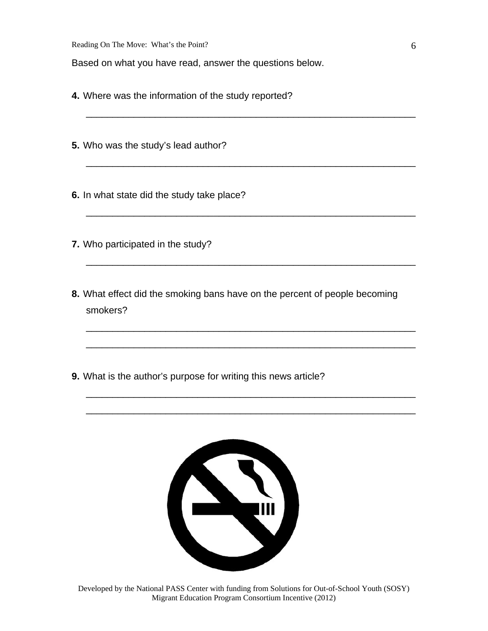Based on what you have read, answer the questions below.

- **4.** Where was the information of the study reported?
- **5.** Who was the study's lead author?

**6.** In what state did the study take place?

- **7.** Who participated in the study?
- **8.** What effect did the smoking bans have on the percent of people becoming smokers?

\_\_\_\_\_\_\_\_\_\_\_\_\_\_\_\_\_\_\_\_\_\_\_\_\_\_\_\_\_\_\_\_\_\_\_\_\_\_\_\_\_\_\_\_\_\_\_\_\_\_\_\_\_\_\_\_\_\_\_\_\_\_

\_\_\_\_\_\_\_\_\_\_\_\_\_\_\_\_\_\_\_\_\_\_\_\_\_\_\_\_\_\_\_\_\_\_\_\_\_\_\_\_\_\_\_\_\_\_\_\_\_\_\_\_\_\_\_\_\_\_\_\_\_\_

\_\_\_\_\_\_\_\_\_\_\_\_\_\_\_\_\_\_\_\_\_\_\_\_\_\_\_\_\_\_\_\_\_\_\_\_\_\_\_\_\_\_\_\_\_\_\_\_\_\_\_\_\_\_\_\_\_\_\_\_\_\_

\_\_\_\_\_\_\_\_\_\_\_\_\_\_\_\_\_\_\_\_\_\_\_\_\_\_\_\_\_\_\_\_\_\_\_\_\_\_\_\_\_\_\_\_\_\_\_\_\_\_\_\_\_\_\_\_\_\_\_\_\_\_

\_\_\_\_\_\_\_\_\_\_\_\_\_\_\_\_\_\_\_\_\_\_\_\_\_\_\_\_\_\_\_\_\_\_\_\_\_\_\_\_\_\_\_\_\_\_\_\_\_\_\_\_\_\_\_\_\_\_\_\_\_\_

\_\_\_\_\_\_\_\_\_\_\_\_\_\_\_\_\_\_\_\_\_\_\_\_\_\_\_\_\_\_\_\_\_\_\_\_\_\_\_\_\_\_\_\_\_\_\_\_\_\_\_\_\_\_\_\_\_\_\_\_\_\_

\_\_\_\_\_\_\_\_\_\_\_\_\_\_\_\_\_\_\_\_\_\_\_\_\_\_\_\_\_\_\_\_\_\_\_\_\_\_\_\_\_\_\_\_\_\_\_\_\_\_\_\_\_\_\_\_\_\_\_\_\_\_

\_\_\_\_\_\_\_\_\_\_\_\_\_\_\_\_\_\_\_\_\_\_\_\_\_\_\_\_\_\_\_\_\_\_\_\_\_\_\_\_\_\_\_\_\_\_\_\_\_\_\_\_\_\_\_\_\_\_\_\_\_\_

**9.** What is the author's purpose for writing this news article?



Developed by the National PASS Center with funding from Solutions for Out-of-School Youth (SOSY) Migrant Education Program Consortium Incentive (2012)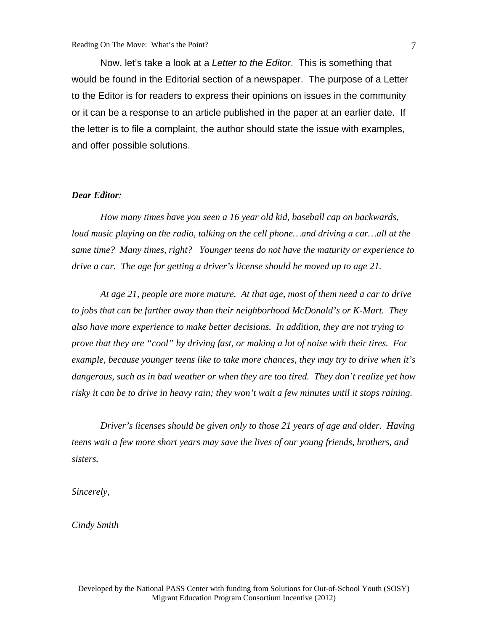Now, let's take a look at a *Letter to the Editor*. This is something that would be found in the Editorial section of a newspaper. The purpose of a Letter to the Editor is for readers to express their opinions on issues in the community or it can be a response to an article published in the paper at an earlier date. If the letter is to file a complaint, the author should state the issue with examples, and offer possible solutions.

#### *Dear Editor:*

*How many times have you seen a 16 year old kid, baseball cap on backwards, loud music playing on the radio, talking on the cell phone…and driving a car…all at the same time? Many times, right? Younger teens do not have the maturity or experience to drive a car. The age for getting a driver's license should be moved up to age 21.* 

 *At age 21, people are more mature. At that age, most of them need a car to drive to jobs that can be farther away than their neighborhood McDonald's or K-Mart. They also have more experience to make better decisions. In addition, they are not trying to prove that they are "cool" by driving fast, or making a lot of noise with their tires. For example, because younger teens like to take more chances, they may try to drive when it's dangerous, such as in bad weather or when they are too tired. They don't realize yet how risky it can be to drive in heavy rain; they won't wait a few minutes until it stops raining.*

 *Driver's licenses should be given only to those 21 years of age and older. Having teens wait a few more short years may save the lives of our young friends, brothers, and sisters.* 

*Sincerely,* 

*Cindy Smith*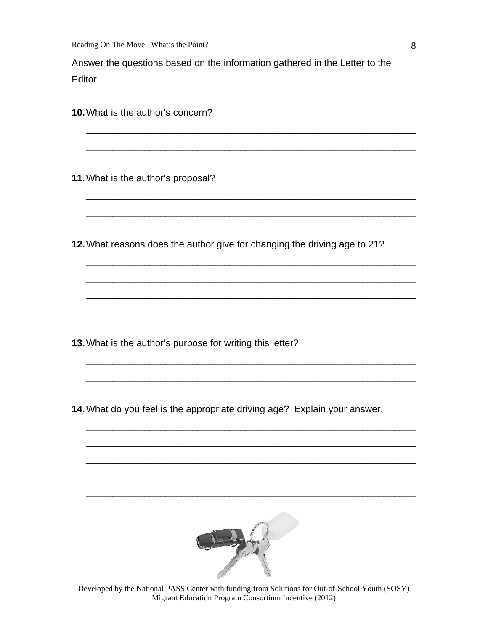Reading On The Move: What's the Point?

Answer the questions based on the information gathered in the Letter to the Editor.

\_\_\_\_\_\_\_\_\_\_\_\_\_\_\_\_\_\_\_\_\_\_\_\_\_\_\_\_\_\_\_\_\_\_\_\_\_\_\_\_\_\_\_\_\_\_\_\_\_\_\_\_\_\_\_\_\_\_\_\_\_\_

\_\_\_\_\_\_\_\_\_\_\_\_\_\_\_\_\_\_\_\_\_\_\_\_\_\_\_\_\_\_\_\_\_\_\_\_\_\_\_\_\_\_\_\_\_\_\_\_\_\_\_\_\_\_\_\_\_\_\_\_\_\_

\_\_\_\_\_\_\_\_\_\_\_\_\_\_\_\_\_\_\_\_\_\_\_\_\_\_\_\_\_\_\_\_\_\_\_\_\_\_\_\_\_\_\_\_\_\_\_\_\_\_\_\_\_\_\_\_\_\_\_\_\_\_

\_\_\_\_\_\_\_\_\_\_\_\_\_\_\_\_\_\_\_\_\_\_\_\_\_\_\_\_\_\_\_\_\_\_\_\_\_\_\_\_\_\_\_\_\_\_\_\_\_\_\_\_\_\_\_\_\_\_\_\_\_\_

\_\_\_\_\_\_\_\_\_\_\_\_\_\_\_\_\_\_\_\_\_\_\_\_\_\_\_\_\_\_\_\_\_\_\_\_\_\_\_\_\_\_\_\_\_\_\_\_\_\_\_\_\_\_\_\_\_\_\_\_\_\_

\_\_\_\_\_\_\_\_\_\_\_\_\_\_\_\_\_\_\_\_\_\_\_\_\_\_\_\_\_\_\_\_\_\_\_\_\_\_\_\_\_\_\_\_\_\_\_\_\_\_\_\_\_\_\_\_\_\_\_\_\_\_

\_\_\_\_\_\_\_\_\_\_\_\_\_\_\_\_\_\_\_\_\_\_\_\_\_\_\_\_\_\_\_\_\_\_\_\_\_\_\_\_\_\_\_\_\_\_\_\_\_\_\_\_\_\_\_\_\_\_\_\_\_\_

\_\_\_\_\_\_\_\_\_\_\_\_\_\_\_\_\_\_\_\_\_\_\_\_\_\_\_\_\_\_\_\_\_\_\_\_\_\_\_\_\_\_\_\_\_\_\_\_\_\_\_\_\_\_\_\_\_\_\_\_\_\_

\_\_\_\_\_\_\_\_\_\_\_\_\_\_\_\_\_\_\_\_\_\_\_\_\_\_\_\_\_\_\_\_\_\_\_\_\_\_\_\_\_\_\_\_\_\_\_\_\_\_\_\_\_\_\_\_\_\_\_\_\_\_

\_\_\_\_\_\_\_\_\_\_\_\_\_\_\_\_\_\_\_\_\_\_\_\_\_\_\_\_\_\_\_\_\_\_\_\_\_\_\_\_\_\_\_\_\_\_\_\_\_\_\_\_\_\_\_\_\_\_\_\_\_\_

\_\_\_\_\_\_\_\_\_\_\_\_\_\_\_\_\_\_\_\_\_\_\_\_\_\_\_\_\_\_\_\_\_\_\_\_\_\_\_\_\_\_\_\_\_\_\_\_\_\_\_\_\_\_\_\_\_\_\_\_\_\_

\_\_\_\_\_\_\_\_\_\_\_\_\_\_\_\_\_\_\_\_\_\_\_\_\_\_\_\_\_\_\_\_\_\_\_\_\_\_\_\_\_\_\_\_\_\_\_\_\_\_\_\_\_\_\_\_\_\_\_\_\_\_

\_\_\_\_\_\_\_\_\_\_\_\_\_\_\_\_\_\_\_\_\_\_\_\_\_\_\_\_\_\_\_\_\_\_\_\_\_\_\_\_\_\_\_\_\_\_\_\_\_\_\_\_\_\_\_\_\_\_\_\_\_\_

\_\_\_\_\_\_\_\_\_\_\_\_\_\_\_\_\_\_\_\_\_\_\_\_\_\_\_\_\_\_\_\_\_\_\_\_\_\_\_\_\_\_\_\_\_\_\_\_\_\_\_\_\_\_\_\_\_\_\_\_\_\_

\_\_\_\_\_\_\_\_\_\_\_\_\_\_\_\_\_\_\_\_\_\_\_\_\_\_\_\_\_\_\_\_\_\_\_\_\_\_\_\_\_\_\_\_\_\_\_\_\_\_\_\_\_\_\_\_\_\_\_\_\_\_

**10.** What is the author's concern?

**11.** What is the author's proposal?

**12.** What reasons does the author give for changing the driving age to 21?

**13.** What is the author's purpose for writing this letter?

**14.** What do you feel is the appropriate driving age? Explain your answer.



Developed by the National PASS Center with funding from Solutions for Out-of-School Youth (SOSY) Migrant Education Program Consortium Incentive (2012)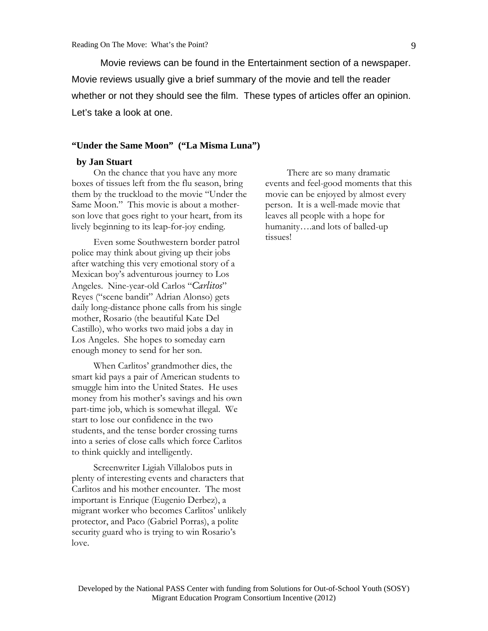Movie reviews can be found in the Entertainment section of a newspaper. Movie reviews usually give a brief summary of the movie and tell the reader whether or not they should see the film. These types of articles offer an opinion. Let's take a look at one.

#### **"Under the Same Moon" ("La Misma Luna")**

### **by Jan Stuart**

On the chance that you have any more boxes of tissues left from the flu season, bring them by the truckload to the movie "Under the Same Moon." This movie is about a motherson love that goes right to your heart, from its lively beginning to its leap-for-joy ending.

Even some Southwestern border patrol police may think about giving up their jobs after watching this very emotional story of a Mexican boy's adventurous journey to Los Angeles. Nine-year-old Carlos "*Carlitos*" Reyes ("scene bandit" Adrian Alonso) gets daily long-distance phone calls from his single mother, Rosario (the beautiful Kate Del Castillo), who works two maid jobs a day in Los Angeles. She hopes to someday earn enough money to send for her son.

When Carlitos' grandmother dies, the smart kid pays a pair of American students to smuggle him into the United States. He uses money from his mother's savings and his own part-time job, which is somewhat illegal. We start to lose our confidence in the two students, and the tense border crossing turns into a series of close calls which force Carlitos to think quickly and intelligently.

Screenwriter Ligiah Villalobos puts in plenty of interesting events and characters that Carlitos and his mother encounter. The most important is Enrique (Eugenio Derbez), a migrant worker who becomes Carlitos' unlikely protector, and Paco (Gabriel Porras), a polite security guard who is trying to win Rosario's love.

There are so many dramatic events and feel-good moments that this movie can be enjoyed by almost every person. It is a well-made movie that leaves all people with a hope for humanity….and lots of balled-up tissues!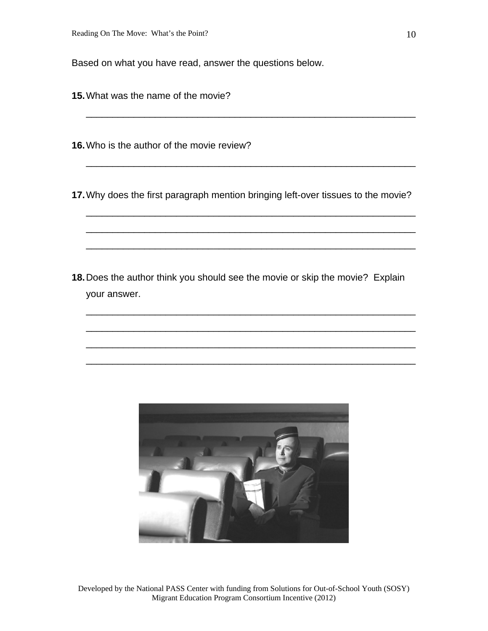Based on what you have read, answer the questions below.

**15.** What was the name of the movie?

**16.** Who is the author of the movie review?

**17.** Why does the first paragraph mention bringing left-over tissues to the movie?

\_\_\_\_\_\_\_\_\_\_\_\_\_\_\_\_\_\_\_\_\_\_\_\_\_\_\_\_\_\_\_\_\_\_\_\_\_\_\_\_\_\_\_\_\_\_\_\_\_\_\_\_\_\_\_\_\_\_\_\_\_\_

\_\_\_\_\_\_\_\_\_\_\_\_\_\_\_\_\_\_\_\_\_\_\_\_\_\_\_\_\_\_\_\_\_\_\_\_\_\_\_\_\_\_\_\_\_\_\_\_\_\_\_\_\_\_\_\_\_\_\_\_\_\_

\_\_\_\_\_\_\_\_\_\_\_\_\_\_\_\_\_\_\_\_\_\_\_\_\_\_\_\_\_\_\_\_\_\_\_\_\_\_\_\_\_\_\_\_\_\_\_\_\_\_\_\_\_\_\_\_\_\_\_\_\_\_

\_\_\_\_\_\_\_\_\_\_\_\_\_\_\_\_\_\_\_\_\_\_\_\_\_\_\_\_\_\_\_\_\_\_\_\_\_\_\_\_\_\_\_\_\_\_\_\_\_\_\_\_\_\_\_\_\_\_\_\_\_\_

\_\_\_\_\_\_\_\_\_\_\_\_\_\_\_\_\_\_\_\_\_\_\_\_\_\_\_\_\_\_\_\_\_\_\_\_\_\_\_\_\_\_\_\_\_\_\_\_\_\_\_\_\_\_\_\_\_\_\_\_\_\_

\_\_\_\_\_\_\_\_\_\_\_\_\_\_\_\_\_\_\_\_\_\_\_\_\_\_\_\_\_\_\_\_\_\_\_\_\_\_\_\_\_\_\_\_\_\_\_\_\_\_\_\_\_\_\_\_\_\_\_\_\_\_

\_\_\_\_\_\_\_\_\_\_\_\_\_\_\_\_\_\_\_\_\_\_\_\_\_\_\_\_\_\_\_\_\_\_\_\_\_\_\_\_\_\_\_\_\_\_\_\_\_\_\_\_\_\_\_\_\_\_\_\_\_\_

\_\_\_\_\_\_\_\_\_\_\_\_\_\_\_\_\_\_\_\_\_\_\_\_\_\_\_\_\_\_\_\_\_\_\_\_\_\_\_\_\_\_\_\_\_\_\_\_\_\_\_\_\_\_\_\_\_\_\_\_\_\_

\_\_\_\_\_\_\_\_\_\_\_\_\_\_\_\_\_\_\_\_\_\_\_\_\_\_\_\_\_\_\_\_\_\_\_\_\_\_\_\_\_\_\_\_\_\_\_\_\_\_\_\_\_\_\_\_\_\_\_\_\_\_

**18.** Does the author think you should see the movie or skip the movie? Explain your answer.



Developed by the National PASS Center with funding from Solutions for Out-of-School Youth (SOSY) Migrant Education Program Consortium Incentive (2012)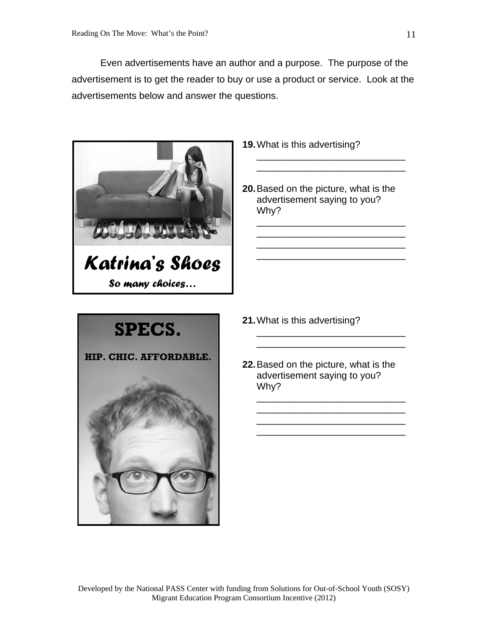Even advertisements have an author and a purpose. The purpose of the advertisement is to get the reader to buy or use a product or service. Look at the advertisements below and answer the questions.



- **19.** What is this advertising?
- **20.** Based on the picture, what is the advertisement saying to you? Why?

\_\_\_\_\_\_\_\_\_\_\_\_\_\_\_\_\_\_\_\_\_\_\_\_\_\_\_\_ \_\_\_\_\_\_\_\_\_\_\_\_\_\_\_\_\_\_\_\_\_\_\_\_\_\_\_\_

\_\_\_\_\_\_\_\_\_\_\_\_\_\_\_\_\_\_\_\_\_\_\_\_\_\_\_\_ \_\_\_\_\_\_\_\_\_\_\_\_\_\_\_\_\_\_\_\_\_\_\_\_\_\_\_\_ \_\_\_\_\_\_\_\_\_\_\_\_\_\_\_\_\_\_\_\_\_\_\_\_\_\_\_\_ \_\_\_\_\_\_\_\_\_\_\_\_\_\_\_\_\_\_\_\_\_\_\_\_\_\_\_\_



- **21.** What is this advertising?
- **22.** Based on the picture, what is the advertisement saying to you? Why?

\_\_\_\_\_\_\_\_\_\_\_\_\_\_\_\_\_\_\_\_\_\_\_\_\_\_\_\_ \_\_\_\_\_\_\_\_\_\_\_\_\_\_\_\_\_\_\_\_\_\_\_\_\_\_\_\_

\_\_\_\_\_\_\_\_\_\_\_\_\_\_\_\_\_\_\_\_\_\_\_\_\_\_\_\_ \_\_\_\_\_\_\_\_\_\_\_\_\_\_\_\_\_\_\_\_\_\_\_\_\_\_\_\_ \_\_\_\_\_\_\_\_\_\_\_\_\_\_\_\_\_\_\_\_\_\_\_\_\_\_\_\_ \_\_\_\_\_\_\_\_\_\_\_\_\_\_\_\_\_\_\_\_\_\_\_\_\_\_\_\_